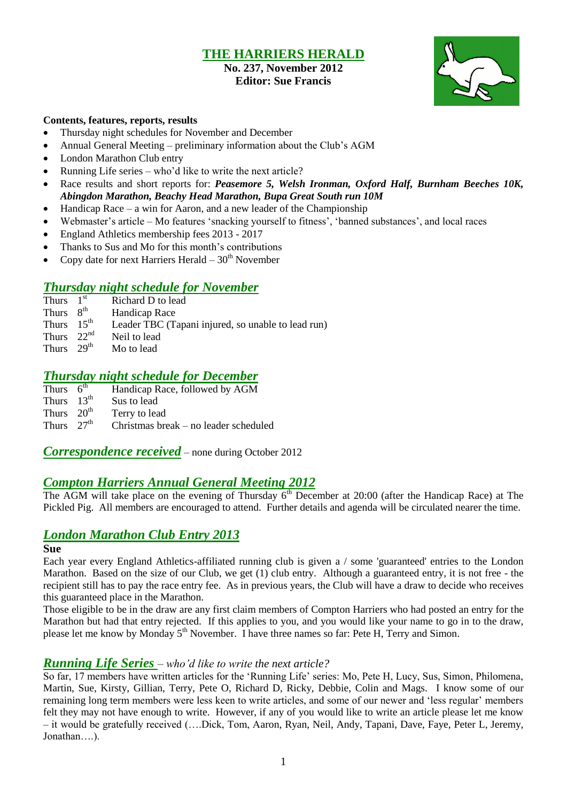## **THE HARRIERS HERALD**

### **No. 237, November 2012 Editor: Sue Francis**



#### **Contents, features, reports, results**

- Thursday night schedules for November and December
- Annual General Meeting preliminary information about the Club's AGM
- London Marathon Club entry
- Running Life series who'd like to write the next article?
- Race results and short reports for: *Peasemore 5, Welsh Ironman, Oxford Half, Burnham Beeches 10K, Abingdon Marathon, Beachy Head Marathon, Bupa Great South run 10M*
- $\bullet$  Handicap Race a win for Aaron, and a new leader of the Championship
- Webmaster's article Mo features 'snacking yourself to fitness', 'banned substances', and local races
- England Athletics membership fees 2013 2017
- Thanks to Sus and Mo for this month's contributions
- Copy date for next Harriers Herald  $-30<sup>th</sup>$  November

## *Thursday night schedule for November*

- Thurs  $1<sup>st</sup>$ Richard D to lead
- Thurs  $8^{th}$ <br>Thurs  $15^{th}$ **Handicap Race**
- Leader TBC (Tapani injured, so unable to lead run)
- Thurs 22nd Neil to lead
- Thurs  $29<sup>th</sup>$  Mo to lead

### *Thursday night schedule for December*

Thurs  $6^{\text{th}}$ Handicap Race, followed by AGM Thurs  $13<sup>th</sup>$  Sus to lead Thurs  $20<sup>th</sup>$ Terry to lead

Thurs  $27<sup>th</sup>$ Christmas break – no leader scheduled

*Correspondence received* – none during October 2012

## *Compton Harriers Annual General Meeting 2012*

The AGM will take place on the evening of Thursday  $6<sup>th</sup>$  December at 20:00 (after the Handicap Race) at The Pickled Pig. All members are encouraged to attend. Further details and agenda will be circulated nearer the time.

## *London Marathon Club Entry 2013*

#### **Sue**

Each year every England Athletics-affiliated running club is given a / some 'guaranteed' entries to the London Marathon. Based on the size of our Club, we get (1) club entry. Although a guaranteed entry, it is not free - the recipient still has to pay the race entry fee. As in previous years, the Club will have a draw to decide who receives this guaranteed place in the Marathon.

Those eligible to be in the draw are any first claim members of Compton Harriers who had posted an entry for the Marathon but had that entry rejected. If this applies to you, and you would like your name to go in to the draw, please let me know by Monday 5<sup>th</sup> November. I have three names so far: Pete H, Terry and Simon.

### *Running Life Series – who'd like to write the next article?*

So far, 17 members have written articles for the 'Running Life' series: Mo, Pete H, Lucy, Sus, Simon, Philomena, Martin, Sue, Kirsty, Gillian, Terry, Pete O, Richard D, Ricky, Debbie, Colin and Mags. I know some of our remaining long term members were less keen to write articles, and some of our newer and 'less regular' members felt they may not have enough to write. However, if any of you would like to write an article please let me know – it would be gratefully received (….Dick, Tom, Aaron, Ryan, Neil, Andy, Tapani, Dave, Faye, Peter L, Jeremy, Jonathan….).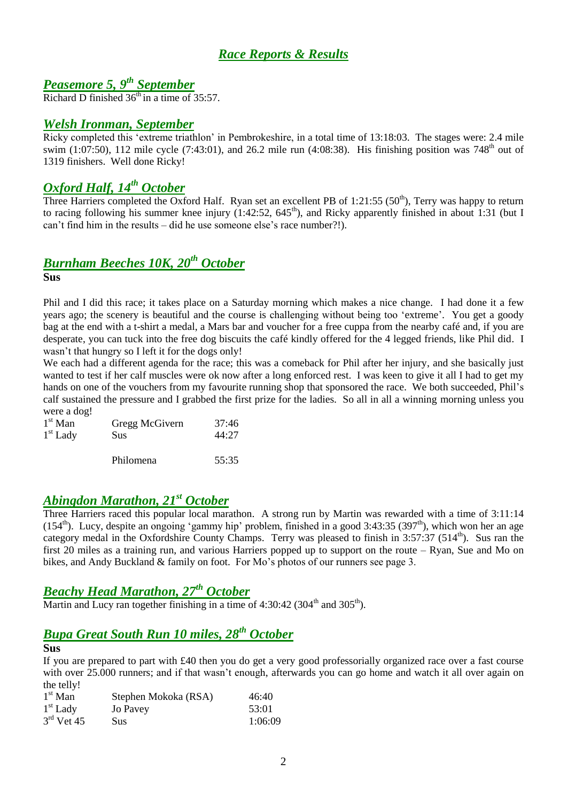## *Race Reports & Results*

## *Peasemore 5, 9 th September*

Richard D finished  $36<sup>th</sup>$  in a time of 35:57.

### *Welsh Ironman, September*

Ricky completed this 'extreme triathlon' in Pembrokeshire, in a total time of 13:18:03. The stages were: 2.4 mile swim (1:07:50), 112 mile cycle (7:43:01), and 26.2 mile run (4:08:38). His finishing position was 748<sup>th</sup> out of 1319 finishers. Well done Ricky!

## *Oxford Half, 14th October*

Three Harriers completed the Oxford Half. Ryan set an excellent PB of 1:21:55 (50<sup>th</sup>), Terry was happy to return to racing following his summer knee injury (1:42:52,  $645<sup>th</sup>$ ), and Ricky apparently finished in about 1:31 (but I can't find him in the results – did he use someone else's race number?!).

## *Burnham Beeches 10K, 20th October*

**Sus**

Phil and I did this race; it takes place on a Saturday morning which makes a nice change. I had done it a few years ago; the scenery is beautiful and the course is challenging without being too 'extreme'. You get a goody bag at the end with a t-shirt a medal, a Mars bar and voucher for a free cuppa from the nearby café and, if you are desperate, you can tuck into the free dog biscuits the café kindly offered for the 4 legged friends, like Phil did. I wasn't that hungry so I left it for the dogs only!

We each had a different agenda for the race; this was a comeback for Phil after her injury, and she basically just wanted to test if her calf muscles were ok now after a long enforced rest. I was keen to give it all I had to get my hands on one of the vouchers from my favourite running shop that sponsored the race. We both succeeded, Phil's calf sustained the pressure and I grabbed the first prize for the ladies. So all in all a winning morning unless you were a dog!

| $1st$ Man  | Gregg McGivern | 37:46 |  |
|------------|----------------|-------|--|
| $1st$ Lady | Sus            | 44:27 |  |
|            | Philomena      | 55:35 |  |

## *Abingdon Marathon, 21st October*

Three Harriers raced this popular local marathon. A strong run by Martin was rewarded with a time of 3:11:14  $(154<sup>th</sup>)$ . Lucy, despite an ongoing 'gammy hip' problem, finished in a good 3:43:35 (397<sup>th</sup>), which won her an age category medal in the Oxfordshire County Champs. Terry was pleased to finish in  $3:57:37$  ( $514<sup>th</sup>$ ). Sus ran the first 20 miles as a training run, and various Harriers popped up to support on the route – Ryan, Sue and Mo on bikes, and Andy Buckland & family on foot. For Mo's photos of our runners see page 3.

## *Beachy Head Marathon, 27 th October*

Martin and Lucy ran together finishing in a time of 4:30:42 (304<sup>th</sup> and 305<sup>th</sup>).

## *Bupa Great South Run 10 miles, 28th October*

#### **Sus**

If you are prepared to part with £40 then you do get a very good professorially organized race over a fast course with over 25.000 runners; and if that wasn't enough, afterwards you can go home and watch it all over again on the telly!

| $1st$ Man    | Stephen Mokoka (RSA) | 46:40   |
|--------------|----------------------|---------|
| $1st$ Lady   | Jo Pavey             | 53:01   |
| $3rd$ Vet 45 | Sus                  | 1:06:09 |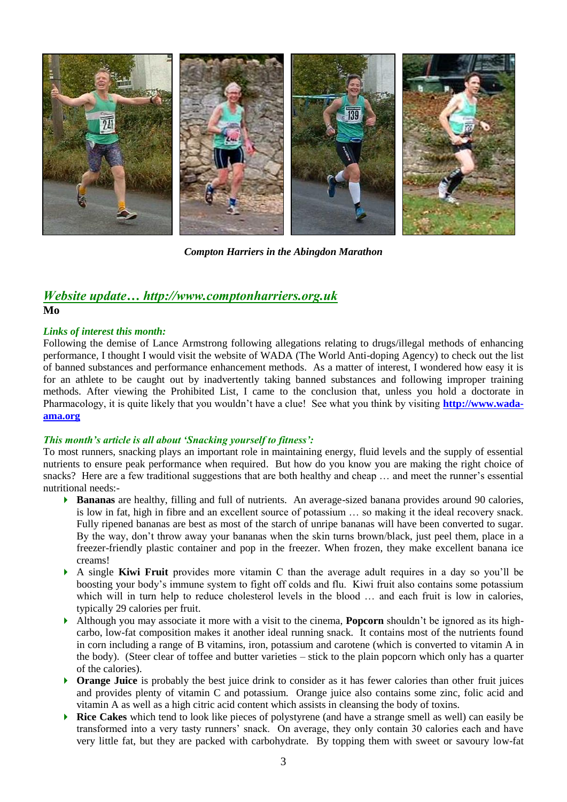

*Compton Harriers in the Abingdon Marathon*

## *Website update… http://www.comptonharriers.org.uk*

**Mo**

#### *Links of interest this month:*

Following the demise of Lance Armstrong following allegations relating to drugs/illegal methods of enhancing performance, I thought I would visit the website of WADA (The World Anti-doping Agency) to check out the list of banned substances and performance enhancement methods. As a matter of interest, I wondered how easy it is for an athlete to be caught out by inadvertently taking banned substances and following improper training methods. After viewing the Prohibited List, I came to the conclusion that, unless you hold a doctorate in Pharmacology, it is quite likely that you wouldn't have a clue! See what you think by visiting **[http://www.wada](http://www.wada-ama.org/)[ama.org](http://www.wada-ama.org/)**

#### *This month's article is all about 'Snacking yourself to fitness':*

To most runners, snacking plays an important role in maintaining energy, fluid levels and the supply of essential nutrients to ensure peak performance when required. But how do you know you are making the right choice of snacks? Here are a few traditional suggestions that are both healthy and cheap … and meet the runner's essential nutritional needs:-

- **Bananas** are healthy, filling and full of nutrients. An average-sized banana provides around 90 calories, is low in fat, high in fibre and an excellent source of potassium … so making it the ideal recovery snack. Fully ripened bananas are best as most of the starch of unripe bananas will have been converted to sugar. By the way, don't throw away your bananas when the skin turns brown/black, just peel them, place in a freezer-friendly plastic container and pop in the freezer. When frozen, they make excellent banana ice creams!
- A single **Kiwi Fruit** provides more vitamin C than the average adult requires in a day so you'll be boosting your body's immune system to fight off colds and flu. Kiwi fruit also contains some potassium which will in turn help to reduce cholesterol levels in the blood ... and each fruit is low in calories, typically 29 calories per fruit.
- Although you may associate it more with a visit to the cinema, **Popcorn** shouldn't be ignored as its highcarbo, low-fat composition makes it another ideal running snack. It contains most of the nutrients found in corn including a range of B vitamins, iron, potassium and carotene (which is converted to vitamin A in the body). (Steer clear of toffee and butter varieties – stick to the plain popcorn which only has a quarter of the calories).
- **Orange Juice** is probably the best juice drink to consider as it has fewer calories than other fruit juices and provides plenty of vitamin C and potassium. Orange juice also contains some zinc, folic acid and vitamin A as well as a high citric acid content which assists in cleansing the body of toxins.
- **Rice Cakes** which tend to look like pieces of polystyrene (and have a strange smell as well) can easily be transformed into a very tasty runners' snack. On average, they only contain 30 calories each and have very little fat, but they are packed with carbohydrate. By topping them with sweet or savoury low-fat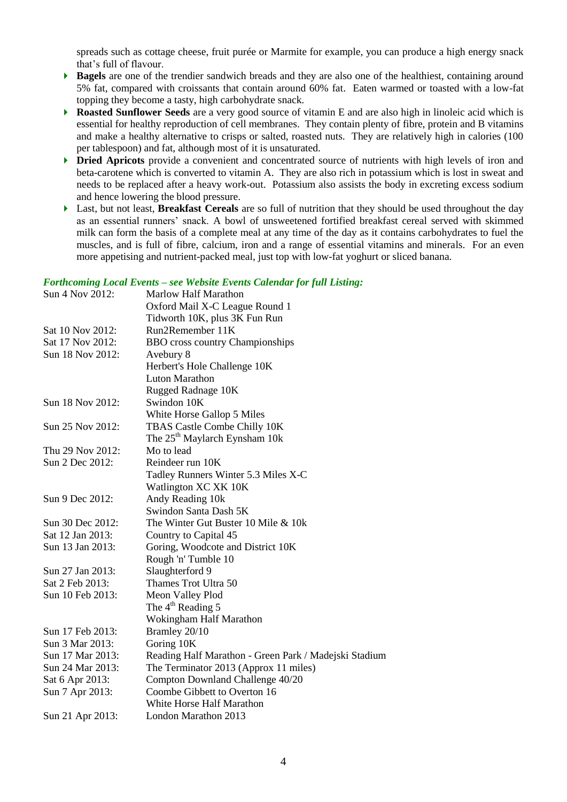spreads such as cottage cheese, fruit purée or Marmite for example, you can produce a high energy snack that's full of flavour.

- **Bagels** are one of the trendier sandwich breads and they are also one of the healthiest, containing around 5% fat, compared with croissants that contain around 60% fat. Eaten warmed or toasted with a low-fat topping they become a tasty, high carbohydrate snack.
- **Roasted Sunflower Seeds** are a very good source of vitamin E and are also high in linoleic acid which is essential for healthy reproduction of cell membranes. They contain plenty of fibre, protein and B vitamins and make a healthy alternative to crisps or salted, roasted nuts. They are relatively high in calories (100 per tablespoon) and fat, although most of it is unsaturated.
- **Dried Apricots** provide a convenient and concentrated source of nutrients with high levels of iron and beta-carotene which is converted to vitamin A. They are also rich in potassium which is lost in sweat and needs to be replaced after a heavy work-out. Potassium also assists the body in excreting excess sodium and hence lowering the blood pressure.
- Last, but not least, **Breakfast Cereals** are so full of nutrition that they should be used throughout the day as an essential runners' snack. A bowl of unsweetened fortified breakfast cereal served with skimmed milk can form the basis of a complete meal at any time of the day as it contains carbohydrates to fuel the muscles, and is full of fibre, calcium, iron and a range of essential vitamins and minerals. For an even more appetising and nutrient-packed meal, just top with low-fat yoghurt or sliced banana.

#### *Forthcoming Local Events – see Website Events Calendar for full Listing:*

|                  | т огикотику пост плеть – зее теозие плеть сатении јог јин пънну. |
|------------------|------------------------------------------------------------------|
| Sun 4 Nov 2012:  | <b>Marlow Half Marathon</b>                                      |
|                  | Oxford Mail X-C League Round 1                                   |
|                  | Tidworth 10K, plus 3K Fun Run                                    |
| Sat 10 Nov 2012: | Run2Remember 11K                                                 |
| Sat 17 Nov 2012: | <b>BBO</b> cross country Championships                           |
| Sun 18 Nov 2012: | Avebury 8                                                        |
|                  | Herbert's Hole Challenge 10K                                     |
|                  | <b>Luton Marathon</b>                                            |
|                  | Rugged Radnage 10K                                               |
| Sun 18 Nov 2012: | Swindon 10K                                                      |
|                  | White Horse Gallop 5 Miles                                       |
| Sun 25 Nov 2012: | TBAS Castle Combe Chilly 10K                                     |
|                  | The 25 <sup>th</sup> Maylarch Eynsham 10k                        |
| Thu 29 Nov 2012: | Mo to lead                                                       |
| Sun 2 Dec 2012:  | Reindeer run 10K                                                 |
|                  | Tadley Runners Winter 5.3 Miles X-C                              |
|                  | Watlington XC XK 10K                                             |
| Sun 9 Dec 2012:  | Andy Reading 10k                                                 |
|                  | Swindon Santa Dash 5K                                            |
| Sun 30 Dec 2012: | The Winter Gut Buster 10 Mile & 10k                              |
| Sat 12 Jan 2013: | Country to Capital 45                                            |
| Sun 13 Jan 2013: | Goring, Woodcote and District 10K                                |
|                  | Rough 'n' Tumble 10                                              |
| Sun 27 Jan 2013: | Slaughterford 9                                                  |
| Sat 2 Feb 2013:  | Thames Trot Ultra 50                                             |
| Sun 10 Feb 2013: | Meon Valley Plod                                                 |
|                  | The $4th$ Reading 5                                              |
|                  | Wokingham Half Marathon                                          |
| Sun 17 Feb 2013: | Bramley 20/10                                                    |
| Sun 3 Mar 2013:  | Goring 10K                                                       |
| Sun 17 Mar 2013: | Reading Half Marathon - Green Park / Madejski Stadium            |
| Sun 24 Mar 2013: | The Terminator 2013 (Approx 11 miles)                            |
| Sat 6 Apr 2013:  | Compton Downland Challenge 40/20                                 |
| Sun 7 Apr 2013:  | Coombe Gibbett to Overton 16                                     |
|                  | White Horse Half Marathon                                        |
| Sun 21 Apr 2013: | London Marathon 2013                                             |
|                  |                                                                  |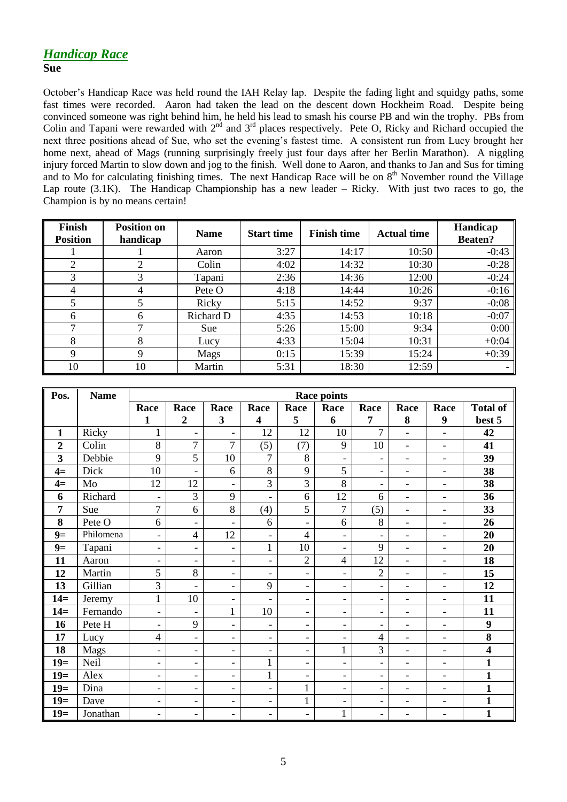# *Handicap Race*

### **Sue**

October's Handicap Race was held round the IAH Relay lap. Despite the fading light and squidgy paths, some fast times were recorded. Aaron had taken the lead on the descent down Hockheim Road. Despite being convinced someone was right behind him, he held his lead to smash his course PB and win the trophy. PBs from Colin and Tapani were rewarded with 2<sup>nd</sup> and 3<sup>rd</sup> places respectively. Pete O, Ricky and Richard occupied the next three positions ahead of Sue, who set the evening's fastest time. A consistent run from Lucy brought her home next, ahead of Mags (running surprisingly freely just four days after her Berlin Marathon). A niggling injury forced Martin to slow down and jog to the finish. Well done to Aaron, and thanks to Jan and Sus for timing and to Mo for calculating finishing times. The next Handicap Race will be on  $8<sup>th</sup>$  November round the Village Lap route (3.1K). The Handicap Championship has a new leader – Ricky. With just two races to go, the Champion is by no means certain!

| Finish<br><b>Position</b> | <b>Position on</b><br>handicap | <b>Name</b> | <b>Finish time</b><br><b>Start time</b> |       | <b>Actual time</b> | Handicap<br><b>Beaten?</b> |
|---------------------------|--------------------------------|-------------|-----------------------------------------|-------|--------------------|----------------------------|
|                           |                                | Aaron       | 3:27                                    | 14:17 | 10:50              | $-0:43$                    |
| $\overline{2}$            | ↑                              | Colin       | 4:02                                    | 14:32 | 10:30              | $-0:28$                    |
| 3                         | 3                              | Tapani      | 2:36                                    | 14:36 | 12:00              | $-0:24$                    |
| 4                         | 4                              | Pete O      | 4:18                                    | 14:44 | 10:26              | $-0:16$                    |
| 5                         |                                | Ricky       | 5:15                                    | 14:52 | 9:37               | $-0:08$                    |
| 6                         | 6                              | Richard D   | 4:35                                    | 14:53 | 10:18              | $-0:07$                    |
| ⇁                         |                                | Sue         | 5:26                                    | 15:00 | 9:34               | 0:00                       |
| 8                         | 8                              | Lucy        | 4:33                                    | 15:04 | 10:31              | $+0:04$                    |
| 9                         | 9                              | Mags        | 0:15                                    | 15:39 | 15:24              | $+0:39$                    |
| 10                        | 10                             | Martin      | 5:31                                    | 18:30 | 12:59              |                            |

| Pos.           | <b>Name</b> | <b>Race points</b>       |                          |                          |                          |                          |                          |                              |                          |                          |                  |
|----------------|-------------|--------------------------|--------------------------|--------------------------|--------------------------|--------------------------|--------------------------|------------------------------|--------------------------|--------------------------|------------------|
|                |             | Race                     | Race                     | Race                     | Race                     | Race                     | Race                     | Race                         | Race                     | Race                     | <b>Total of</b>  |
|                |             | $\mathbf{1}$             | $\overline{2}$           | 3                        | $\overline{\mathbf{4}}$  | 5                        | 6                        | 7                            | 8                        | 9                        | best 5           |
| $\mathbf{1}$   | Ricky       | 1                        | $\overline{\phantom{a}}$ | $\overline{\phantom{0}}$ | 12                       | 12                       | 10                       | $\overline{7}$               | ÷,                       | $\overline{\phantom{a}}$ | 42               |
| $\overline{2}$ | Colin       | 8                        | 7                        | $\overline{7}$           | (5)                      | (7)                      | 9                        | 10                           | $\overline{\phantom{a}}$ | $\overline{\phantom{a}}$ | 41               |
| 3              | Debbie      | 9                        | 5                        | 10                       | $\overline{7}$           | 8                        | $\overline{\phantom{a}}$ | $\overline{\phantom{0}}$     | $\overline{\phantom{0}}$ | $\overline{\phantom{0}}$ | 39               |
| $4=$           | Dick        | 10                       | $\overline{\phantom{0}}$ | 6                        | 8                        | 9                        | 5                        | $\overline{\phantom{a}}$     | $\overline{\phantom{0}}$ | $\overline{\phantom{a}}$ | 38               |
| $4=$           | Mo          | 12                       | 12                       | $\overline{a}$           | 3                        | $\overline{3}$           | 8                        | $\overline{a}$               | $\overline{\phantom{0}}$ | $\overline{a}$           | 38               |
| 6              | Richard     | $\overline{\phantom{0}}$ | 3                        | 9                        | $\overline{\phantom{a}}$ | 6                        | 12                       | 6                            | ÷,                       | $\overline{\phantom{a}}$ | 36               |
| 7              | Sue         | $\overline{7}$           | 6                        | 8                        | (4)                      | 5                        | $\overline{7}$           | (5)                          | $\overline{a}$           | $\blacksquare$           | 33               |
| 8              | Pete O      | 6                        | $\overline{\phantom{a}}$ | -                        | 6                        | $\overline{\phantom{0}}$ | 6                        | 8                            | $\overline{\phantom{0}}$ | $\overline{\phantom{a}}$ | 26               |
| $9=$           | Philomena   | $\overline{\phantom{a}}$ | $\overline{\mathcal{L}}$ | 12                       | $\overline{\phantom{a}}$ | $\overline{4}$           | $\overline{\phantom{a}}$ | $\overline{\phantom{a}}$     | $\overline{\phantom{0}}$ | $\overline{\phantom{a}}$ | 20               |
| $9=$           | Tapani      | $\overline{\phantom{a}}$ | $\qquad \qquad -$        | $\qquad \qquad -$        | $\mathbf{1}$             | 10                       | $\overline{\phantom{a}}$ | 9                            | $\overline{\phantom{0}}$ | $\overline{\phantom{0}}$ | 20               |
| 11             | Aaron       | $\blacksquare$           | $\overline{\phantom{a}}$ | $\blacksquare$           | $\overline{\phantom{a}}$ | $\overline{2}$           | $\overline{4}$           | 12                           | $\overline{a}$           | $\overline{\phantom{a}}$ | 18               |
| 12             | Martin      | 5                        | 8                        | $\overline{\phantom{a}}$ | $\overline{\phantom{a}}$ | $\overline{\phantom{a}}$ | $\overline{\phantom{0}}$ | $\overline{2}$               | $\overline{a}$           | $\overline{\phantom{a}}$ | 15               |
| 13             | Gillian     | 3                        | $\overline{a}$           | $\overline{\phantom{0}}$ | 9                        | $\overline{\phantom{0}}$ | $\overline{\phantom{0}}$ | $\overline{\phantom{0}}$     | $\overline{a}$           | $\overline{\phantom{a}}$ | 12               |
| $14=$          | Jeremy      | $\mathbf{1}$             | 10                       | $\overline{\phantom{a}}$ | $\overline{\phantom{0}}$ | $\overline{\phantom{0}}$ | $\overline{\phantom{a}}$ | $\overline{\phantom{0}}$     | $\overline{\phantom{0}}$ | $\blacksquare$           | 11               |
| $14=$          | Fernando    | $\overline{\phantom{a}}$ | $\qquad \qquad -$        | $\mathbf{1}$             | 10                       | $\overline{\phantom{a}}$ | $\overline{\phantom{a}}$ | $\overline{\phantom{a}}$     | $\overline{\phantom{a}}$ | $\overline{\phantom{a}}$ | 11               |
| 16             | Pete H      | $\overline{\phantom{a}}$ | 9                        | $\overline{\phantom{a}}$ | $\overline{\phantom{a}}$ | -                        | $\overline{\phantom{a}}$ | $\overline{\phantom{0}}$     | $\overline{\phantom{0}}$ | $\overline{\phantom{0}}$ | $\boldsymbol{9}$ |
| 17             | Lucy        | $\overline{\mathcal{L}}$ | $\overline{\phantom{0}}$ | $\overline{\phantom{a}}$ | $\overline{\phantom{a}}$ | $\overline{\phantom{0}}$ | $\qquad \qquad -$        | 4                            | ÷,                       | $\overline{\phantom{0}}$ | 8                |
| 18             | Mags        | $\blacksquare$           | $\overline{\phantom{a}}$ | $\overline{\phantom{0}}$ | $\blacksquare$           | $\overline{\phantom{a}}$ | $\mathbf{1}$             | 3                            | $\overline{\phantom{0}}$ | $\overline{\phantom{a}}$ | 4                |
| $19=$          | Neil        | $\overline{\phantom{a}}$ | $\overline{\phantom{a}}$ | $\overline{\phantom{0}}$ | $\mathbf{1}$             | $\overline{\phantom{0}}$ | $\overline{\phantom{0}}$ | $\overline{a}$               | $\overline{a}$           | $\blacksquare$           | $\mathbf{1}$     |
| $19=$          | Alex        | $\overline{\phantom{a}}$ | $\overline{\phantom{a}}$ | -                        | $\mathbf{1}$             | $\overline{\phantom{0}}$ | $\overline{\phantom{a}}$ | $\overline{\phantom{a}}$     | $\overline{\phantom{0}}$ | $\overline{\phantom{a}}$ | $\mathbf{1}$     |
| $19=$          | Dina        | $\overline{\phantom{a}}$ | $\overline{\phantom{a}}$ | $\overline{\phantom{a}}$ | $\overline{\phantom{a}}$ | 1                        | $\overline{\phantom{a}}$ | $\overline{\phantom{a}}$     | $\overline{\phantom{0}}$ | $\overline{\phantom{a}}$ | $\mathbf{1}$     |
| $19=$          | Dave        | $\overline{\phantom{a}}$ | $\overline{\phantom{a}}$ | $\overline{\phantom{a}}$ | $\overline{\phantom{a}}$ | 1                        | $\overline{\phantom{a}}$ | $\overline{\phantom{a}}$     | $\overline{\phantom{a}}$ | $\overline{\phantom{a}}$ | $\mathbf{1}$     |
| $19=$          | Jonathan    | $\blacksquare$           | $\blacksquare$           | $\overline{\phantom{0}}$ | $\overline{\phantom{0}}$ | -                        | $\mathbf{1}$             | $\qquad \qquad \blacksquare$ | $\overline{\phantom{0}}$ | $\overline{\phantom{0}}$ | $\mathbf{1}$     |